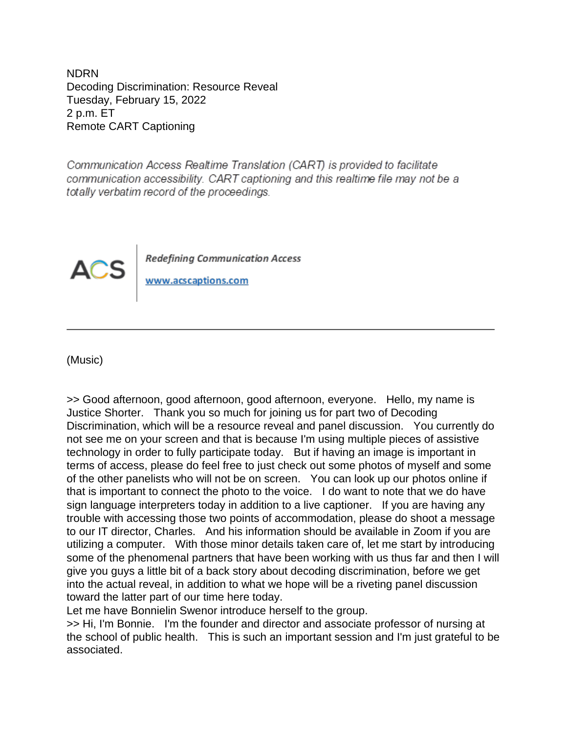NDRN Decoding Discrimination: Resource Reveal Tuesday, February 15, 2022 2 p.m. ET Remote CART Captioning

Communication Access Realtime Translation (CART) is provided to facilitate communication accessibility. CART captioning and this realtime file may not be a totally verbatim record of the proceedings.



**Redefining Communication Access** 

www.acscaptions.com

(Music)

>> Good afternoon, good afternoon, good afternoon, everyone. Hello, my name is Justice Shorter. Thank you so much for joining us for part two of Decoding Discrimination, which will be a resource reveal and panel discussion. You currently do not see me on your screen and that is because I'm using multiple pieces of assistive technology in order to fully participate today. But if having an image is important in terms of access, please do feel free to just check out some photos of myself and some of the other panelists who will not be on screen. You can look up our photos online if that is important to connect the photo to the voice. I do want to note that we do have sign language interpreters today in addition to a live captioner. If you are having any trouble with accessing those two points of accommodation, please do shoot a message to our IT director, Charles. And his information should be available in Zoom if you are utilizing a computer. With those minor details taken care of, let me start by introducing some of the phenomenal partners that have been working with us thus far and then I will give you guys a little bit of a back story about decoding discrimination, before we get into the actual reveal, in addition to what we hope will be a riveting panel discussion toward the latter part of our time here today.

Let me have Bonnielin Swenor introduce herself to the group.

>> Hi, I'm Bonnie. I'm the founder and director and associate professor of nursing at the school of public health. This is such an important session and I'm just grateful to be associated.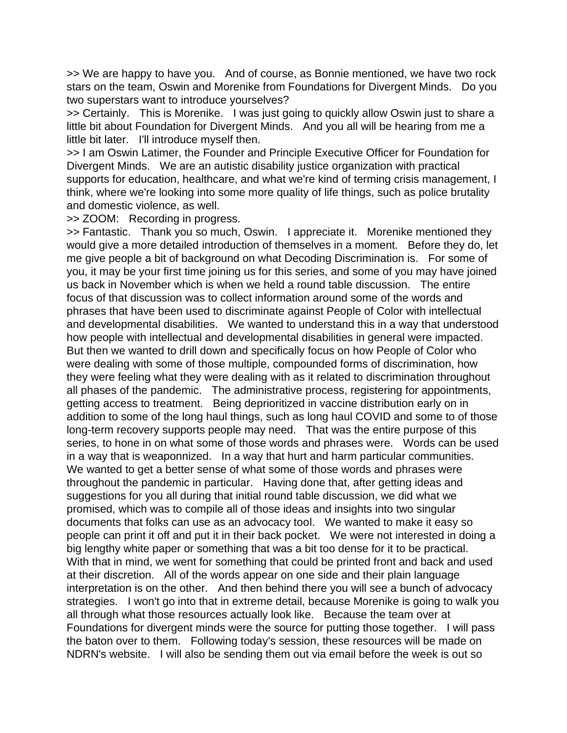>> We are happy to have you. And of course, as Bonnie mentioned, we have two rock stars on the team, Oswin and Morenike from Foundations for Divergent Minds. Do you two superstars want to introduce yourselves?

>> Certainly. This is Morenike. I was just going to quickly allow Oswin just to share a little bit about Foundation for Divergent Minds. And you all will be hearing from me a little bit later. I'll introduce myself then.

>> I am Oswin Latimer, the Founder and Principle Executive Officer for Foundation for Divergent Minds. We are an autistic disability justice organization with practical supports for education, healthcare, and what we're kind of terming crisis management, I think, where we're looking into some more quality of life things, such as police brutality and domestic violence, as well.

>> ZOOM: Recording in progress.

>> Fantastic. Thank you so much, Oswin. I appreciate it. Morenike mentioned they would give a more detailed introduction of themselves in a moment. Before they do, let me give people a bit of background on what Decoding Discrimination is. For some of you, it may be your first time joining us for this series, and some of you may have joined us back in November which is when we held a round table discussion. The entire focus of that discussion was to collect information around some of the words and phrases that have been used to discriminate against People of Color with intellectual and developmental disabilities. We wanted to understand this in a way that understood how people with intellectual and developmental disabilities in general were impacted. But then we wanted to drill down and specifically focus on how People of Color who were dealing with some of those multiple, compounded forms of discrimination, how they were feeling what they were dealing with as it related to discrimination throughout all phases of the pandemic. The administrative process, registering for appointments, getting access to treatment. Being deprioritized in vaccine distribution early on in addition to some of the long haul things, such as long haul COVID and some to of those long-term recovery supports people may need. That was the entire purpose of this series, to hone in on what some of those words and phrases were. Words can be used in a way that is weaponnized. In a way that hurt and harm particular communities. We wanted to get a better sense of what some of those words and phrases were throughout the pandemic in particular. Having done that, after getting ideas and suggestions for you all during that initial round table discussion, we did what we promised, which was to compile all of those ideas and insights into two singular documents that folks can use as an advocacy tool. We wanted to make it easy so people can print it off and put it in their back pocket. We were not interested in doing a big lengthy white paper or something that was a bit too dense for it to be practical. With that in mind, we went for something that could be printed front and back and used at their discretion. All of the words appear on one side and their plain language interpretation is on the other. And then behind there you will see a bunch of advocacy strategies. I won't go into that in extreme detail, because Morenike is going to walk you all through what those resources actually look like. Because the team over at Foundations for divergent minds were the source for putting those together. I will pass the baton over to them. Following today's session, these resources will be made on NDRN's website. I will also be sending them out via email before the week is out so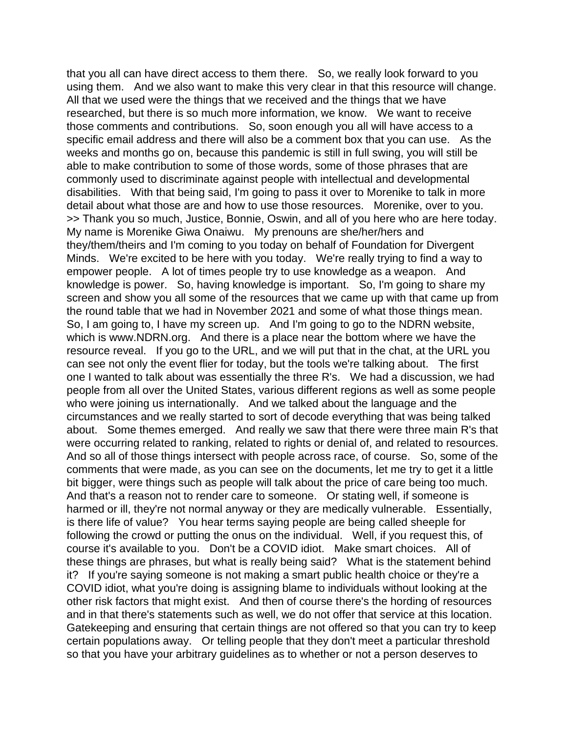that you all can have direct access to them there. So, we really look forward to you using them. And we also want to make this very clear in that this resource will change. All that we used were the things that we received and the things that we have researched, but there is so much more information, we know. We want to receive those comments and contributions. So, soon enough you all will have access to a specific email address and there will also be a comment box that you can use. As the weeks and months go on, because this pandemic is still in full swing, you will still be able to make contribution to some of those words, some of those phrases that are commonly used to discriminate against people with intellectual and developmental disabilities. With that being said, I'm going to pass it over to Morenike to talk in more detail about what those are and how to use those resources. Morenike, over to you. >> Thank you so much, Justice, Bonnie, Oswin, and all of you here who are here today. My name is Morenike Giwa Onaiwu. My prenouns are she/her/hers and they/them/theirs and I'm coming to you today on behalf of Foundation for Divergent Minds. We're excited to be here with you today. We're really trying to find a way to empower people. A lot of times people try to use knowledge as a weapon. And knowledge is power. So, having knowledge is important. So, I'm going to share my screen and show you all some of the resources that we came up with that came up from the round table that we had in November 2021 and some of what those things mean. So, I am going to, I have my screen up. And I'm going to go to the NDRN website, which is www.NDRN.org. And there is a place near the bottom where we have the resource reveal. If you go to the URL, and we will put that in the chat, at the URL you can see not only the event flier for today, but the tools we're talking about. The first one I wanted to talk about was essentially the three R's. We had a discussion, we had people from all over the United States, various different regions as well as some people who were joining us internationally. And we talked about the language and the circumstances and we really started to sort of decode everything that was being talked about. Some themes emerged. And really we saw that there were three main R's that were occurring related to ranking, related to rights or denial of, and related to resources. And so all of those things intersect with people across race, of course. So, some of the comments that were made, as you can see on the documents, let me try to get it a little bit bigger, were things such as people will talk about the price of care being too much. And that's a reason not to render care to someone. Or stating well, if someone is harmed or ill, they're not normal anyway or they are medically vulnerable. Essentially, is there life of value? You hear terms saying people are being called sheeple for following the crowd or putting the onus on the individual. Well, if you request this, of course it's available to you. Don't be a COVID idiot. Make smart choices. All of these things are phrases, but what is really being said? What is the statement behind it? If you're saying someone is not making a smart public health choice or they're a COVID idiot, what you're doing is assigning blame to individuals without looking at the other risk factors that might exist. And then of course there's the hording of resources and in that there's statements such as well, we do not offer that service at this location. Gatekeeping and ensuring that certain things are not offered so that you can try to keep certain populations away. Or telling people that they don't meet a particular threshold so that you have your arbitrary guidelines as to whether or not a person deserves to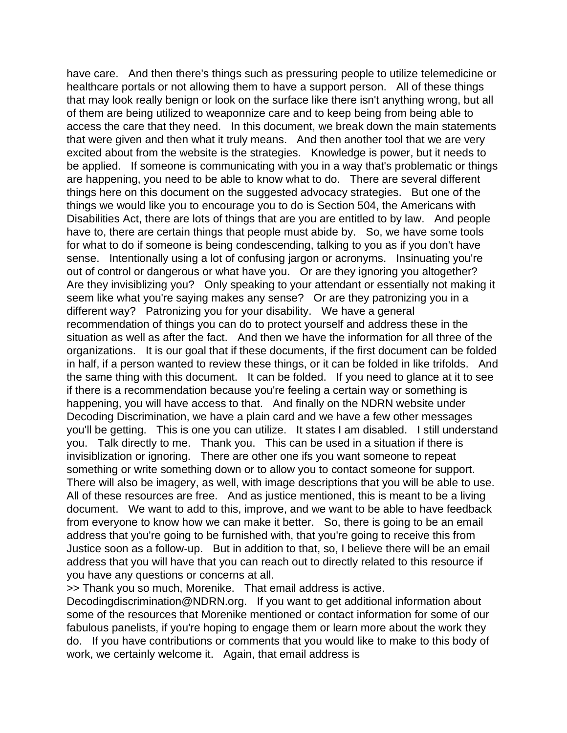have care. And then there's things such as pressuring people to utilize telemedicine or healthcare portals or not allowing them to have a support person. All of these things that may look really benign or look on the surface like there isn't anything wrong, but all of them are being utilized to weaponnize care and to keep being from being able to access the care that they need. In this document, we break down the main statements that were given and then what it truly means. And then another tool that we are very excited about from the website is the strategies. Knowledge is power, but it needs to be applied. If someone is communicating with you in a way that's problematic or things are happening, you need to be able to know what to do. There are several different things here on this document on the suggested advocacy strategies. But one of the things we would like you to encourage you to do is Section 504, the Americans with Disabilities Act, there are lots of things that are you are entitled to by law. And people have to, there are certain things that people must abide by. So, we have some tools for what to do if someone is being condescending, talking to you as if you don't have sense. Intentionally using a lot of confusing jargon or acronyms. Insinuating you're out of control or dangerous or what have you. Or are they ignoring you altogether? Are they invisiblizing you? Only speaking to your attendant or essentially not making it seem like what you're saying makes any sense? Or are they patronizing you in a different way? Patronizing you for your disability. We have a general recommendation of things you can do to protect yourself and address these in the situation as well as after the fact. And then we have the information for all three of the organizations. It is our goal that if these documents, if the first document can be folded in half, if a person wanted to review these things, or it can be folded in like trifolds. And the same thing with this document. It can be folded. If you need to glance at it to see if there is a recommendation because you're feeling a certain way or something is happening, you will have access to that. And finally on the NDRN website under Decoding Discrimination, we have a plain card and we have a few other messages you'll be getting. This is one you can utilize. It states I am disabled. I still understand you. Talk directly to me. Thank you. This can be used in a situation if there is invisiblization or ignoring. There are other one ifs you want someone to repeat something or write something down or to allow you to contact someone for support. There will also be imagery, as well, with image descriptions that you will be able to use. All of these resources are free. And as justice mentioned, this is meant to be a living document. We want to add to this, improve, and we want to be able to have feedback from everyone to know how we can make it better. So, there is going to be an email address that you're going to be furnished with, that you're going to receive this from Justice soon as a follow-up. But in addition to that, so, I believe there will be an email address that you will have that you can reach out to directly related to this resource if you have any questions or concerns at all.

>> Thank you so much, Morenike. That email address is active.

Decodingdiscrimination@NDRN.org. If you want to get additional information about some of the resources that Morenike mentioned or contact information for some of our fabulous panelists, if you're hoping to engage them or learn more about the work they do. If you have contributions or comments that you would like to make to this body of work, we certainly welcome it. Again, that email address is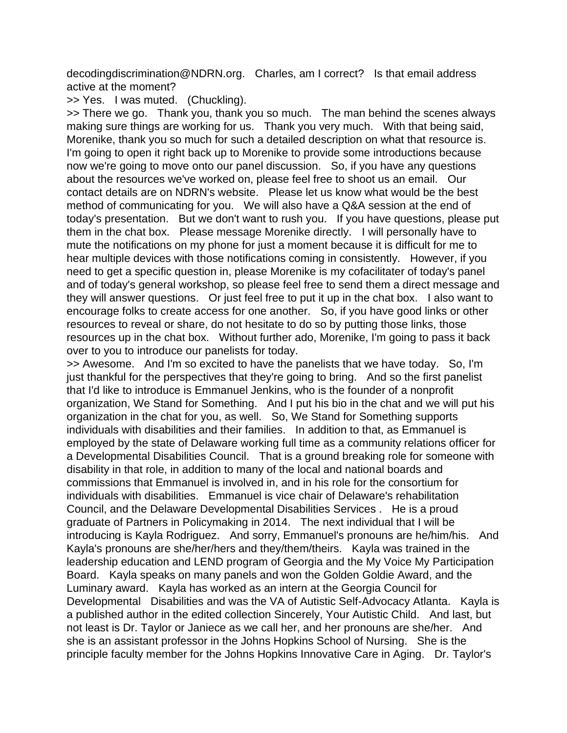decodingdiscrimination@NDRN.org. Charles, am I correct? Is that email address active at the moment?

>> Yes. I was muted. (Chuckling).

>> There we go. Thank you, thank you so much. The man behind the scenes always making sure things are working for us. Thank you very much. With that being said, Morenike, thank you so much for such a detailed description on what that resource is. I'm going to open it right back up to Morenike to provide some introductions because now we're going to move onto our panel discussion. So, if you have any questions about the resources we've worked on, please feel free to shoot us an email. Our contact details are on NDRN's website. Please let us know what would be the best method of communicating for you. We will also have a Q&A session at the end of today's presentation. But we don't want to rush you. If you have questions, please put them in the chat box. Please message Morenike directly. I will personally have to mute the notifications on my phone for just a moment because it is difficult for me to hear multiple devices with those notifications coming in consistently. However, if you need to get a specific question in, please Morenike is my cofacilitater of today's panel and of today's general workshop, so please feel free to send them a direct message and they will answer questions. Or just feel free to put it up in the chat box. I also want to encourage folks to create access for one another. So, if you have good links or other resources to reveal or share, do not hesitate to do so by putting those links, those resources up in the chat box. Without further ado, Morenike, I'm going to pass it back over to you to introduce our panelists for today.

>> Awesome. And I'm so excited to have the panelists that we have today. So, I'm just thankful for the perspectives that they're going to bring. And so the first panelist that I'd like to introduce is Emmanuel Jenkins, who is the founder of a nonprofit organization, We Stand for Something. And I put his bio in the chat and we will put his organization in the chat for you, as well. So, We Stand for Something supports individuals with disabilities and their families. In addition to that, as Emmanuel is employed by the state of Delaware working full time as a community relations officer for a Developmental Disabilities Council. That is a ground breaking role for someone with disability in that role, in addition to many of the local and national boards and commissions that Emmanuel is involved in, and in his role for the consortium for individuals with disabilities. Emmanuel is vice chair of Delaware's rehabilitation Council, and the Delaware Developmental Disabilities Services . He is a proud graduate of Partners in Policymaking in 2014. The next individual that I will be introducing is Kayla Rodriguez. And sorry, Emmanuel's pronouns are he/him/his. And Kayla's pronouns are she/her/hers and they/them/theirs. Kayla was trained in the leadership education and LEND program of Georgia and the My Voice My Participation Board. Kayla speaks on many panels and won the Golden Goldie Award, and the Luminary award. Kayla has worked as an intern at the Georgia Council for Developmental Disabilities and was the VA of Autistic Self-Advocacy Atlanta. Kayla is a published author in the edited collection Sincerely, Your Autistic Child. And last, but not least is Dr. Taylor or Janiece as we call her, and her pronouns are she/her. And she is an assistant professor in the Johns Hopkins School of Nursing. She is the principle faculty member for the Johns Hopkins Innovative Care in Aging. Dr. Taylor's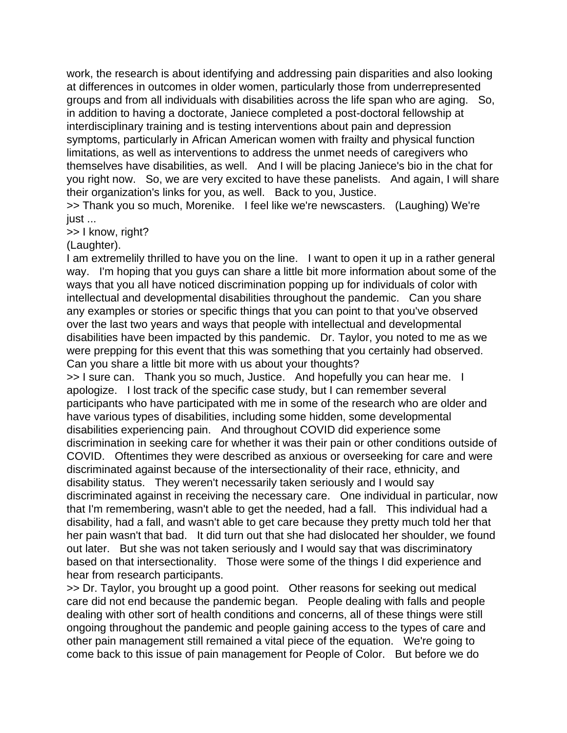work, the research is about identifying and addressing pain disparities and also looking at differences in outcomes in older women, particularly those from underrepresented groups and from all individuals with disabilities across the life span who are aging. So, in addition to having a doctorate, Janiece completed a post-doctoral fellowship at interdisciplinary training and is testing interventions about pain and depression symptoms, particularly in African American women with frailty and physical function limitations, as well as interventions to address the unmet needs of caregivers who themselves have disabilities, as well. And I will be placing Janiece's bio in the chat for you right now. So, we are very excited to have these panelists. And again, I will share their organization's links for you, as well. Back to you, Justice.

>> Thank you so much, Morenike. I feel like we're newscasters. (Laughing) We're just ...

>> I know, right?

(Laughter).

I am extremelily thrilled to have you on the line. I want to open it up in a rather general way. I'm hoping that you guys can share a little bit more information about some of the ways that you all have noticed discrimination popping up for individuals of color with intellectual and developmental disabilities throughout the pandemic. Can you share any examples or stories or specific things that you can point to that you've observed over the last two years and ways that people with intellectual and developmental disabilities have been impacted by this pandemic. Dr. Taylor, you noted to me as we were prepping for this event that this was something that you certainly had observed. Can you share a little bit more with us about your thoughts?

>> I sure can. Thank you so much, Justice. And hopefully you can hear me. I apologize. I lost track of the specific case study, but I can remember several participants who have participated with me in some of the research who are older and have various types of disabilities, including some hidden, some developmental disabilities experiencing pain. And throughout COVID did experience some discrimination in seeking care for whether it was their pain or other conditions outside of COVID. Oftentimes they were described as anxious or overseeking for care and were discriminated against because of the intersectionality of their race, ethnicity, and disability status. They weren't necessarily taken seriously and I would say discriminated against in receiving the necessary care. One individual in particular, now that I'm remembering, wasn't able to get the needed, had a fall. This individual had a disability, had a fall, and wasn't able to get care because they pretty much told her that her pain wasn't that bad. It did turn out that she had dislocated her shoulder, we found out later. But she was not taken seriously and I would say that was discriminatory based on that intersectionality. Those were some of the things I did experience and hear from research participants.

>> Dr. Taylor, you brought up a good point. Other reasons for seeking out medical care did not end because the pandemic began. People dealing with falls and people dealing with other sort of health conditions and concerns, all of these things were still ongoing throughout the pandemic and people gaining access to the types of care and other pain management still remained a vital piece of the equation. We're going to come back to this issue of pain management for People of Color. But before we do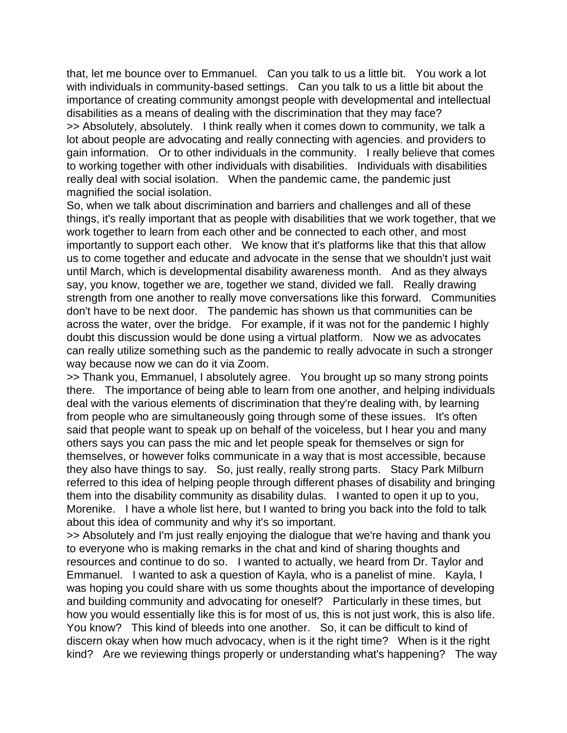that, let me bounce over to Emmanuel. Can you talk to us a little bit. You work a lot with individuals in community-based settings. Can you talk to us a little bit about the importance of creating community amongst people with developmental and intellectual disabilities as a means of dealing with the discrimination that they may face? >> Absolutely, absolutely. I think really when it comes down to community, we talk a lot about people are advocating and really connecting with agencies. and providers to gain information. Or to other individuals in the community. I really believe that comes to working together with other individuals with disabilities. Individuals with disabilities really deal with social isolation. When the pandemic came, the pandemic just magnified the social isolation.

So, when we talk about discrimination and barriers and challenges and all of these things, it's really important that as people with disabilities that we work together, that we work together to learn from each other and be connected to each other, and most importantly to support each other. We know that it's platforms like that this that allow us to come together and educate and advocate in the sense that we shouldn't just wait until March, which is developmental disability awareness month. And as they always say, you know, together we are, together we stand, divided we fall. Really drawing strength from one another to really move conversations like this forward. Communities don't have to be next door. The pandemic has shown us that communities can be across the water, over the bridge. For example, if it was not for the pandemic I highly doubt this discussion would be done using a virtual platform. Now we as advocates can really utilize something such as the pandemic to really advocate in such a stronger way because now we can do it via Zoom.

>> Thank you, Emmanuel, I absolutely agree. You brought up so many strong points there. The importance of being able to learn from one another, and helping individuals deal with the various elements of discrimination that they're dealing with, by learning from people who are simultaneously going through some of these issues. It's often said that people want to speak up on behalf of the voiceless, but I hear you and many others says you can pass the mic and let people speak for themselves or sign for themselves, or however folks communicate in a way that is most accessible, because they also have things to say. So, just really, really strong parts. Stacy Park Milburn referred to this idea of helping people through different phases of disability and bringing them into the disability community as disability dulas. I wanted to open it up to you, Morenike. I have a whole list here, but I wanted to bring you back into the fold to talk about this idea of community and why it's so important.

>> Absolutely and I'm just really enjoying the dialogue that we're having and thank you to everyone who is making remarks in the chat and kind of sharing thoughts and resources and continue to do so. I wanted to actually, we heard from Dr. Taylor and Emmanuel. I wanted to ask a question of Kayla, who is a panelist of mine. Kayla, I was hoping you could share with us some thoughts about the importance of developing and building community and advocating for oneself? Particularly in these times, but how you would essentially like this is for most of us, this is not just work, this is also life. You know? This kind of bleeds into one another. So, it can be difficult to kind of discern okay when how much advocacy, when is it the right time? When is it the right kind? Are we reviewing things properly or understanding what's happening? The way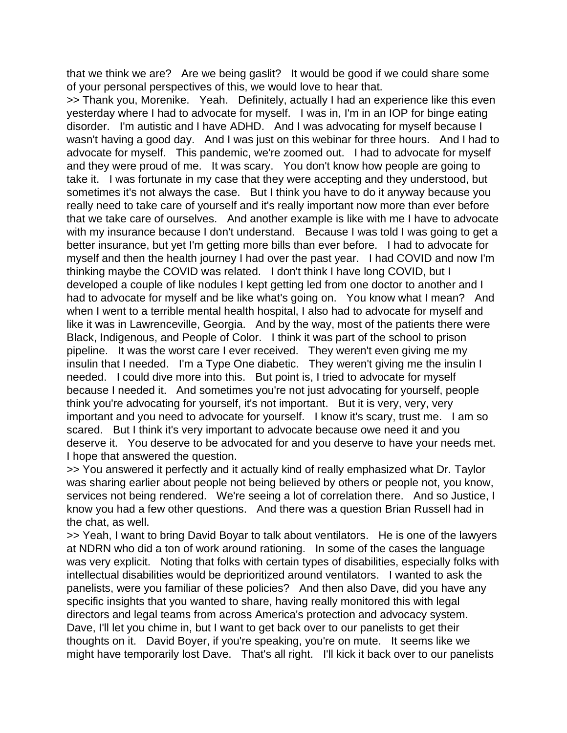that we think we are? Are we being gaslit? It would be good if we could share some of your personal perspectives of this, we would love to hear that.

>> Thank you, Morenike. Yeah. Definitely, actually I had an experience like this even yesterday where I had to advocate for myself. I was in, I'm in an IOP for binge eating disorder. I'm autistic and I have ADHD. And I was advocating for myself because I wasn't having a good day. And I was just on this webinar for three hours. And I had to advocate for myself. This pandemic, we're zoomed out. I had to advocate for myself and they were proud of me. It was scary. You don't know how people are going to take it. I was fortunate in my case that they were accepting and they understood, but sometimes it's not always the case. But I think you have to do it anyway because you really need to take care of yourself and it's really important now more than ever before that we take care of ourselves. And another example is like with me I have to advocate with my insurance because I don't understand. Because I was told I was going to get a better insurance, but yet I'm getting more bills than ever before. I had to advocate for myself and then the health journey I had over the past year. I had COVID and now I'm thinking maybe the COVID was related. I don't think I have long COVID, but I developed a couple of like nodules I kept getting led from one doctor to another and I had to advocate for myself and be like what's going on. You know what I mean? And when I went to a terrible mental health hospital, I also had to advocate for myself and like it was in Lawrenceville, Georgia. And by the way, most of the patients there were Black, Indigenous, and People of Color. I think it was part of the school to prison pipeline. It was the worst care I ever received. They weren't even giving me my insulin that I needed. I'm a Type One diabetic. They weren't giving me the insulin I needed. I could dive more into this. But point is, I tried to advocate for myself because I needed it. And sometimes you're not just advocating for yourself, people think you're advocating for yourself, it's not important. But it is very, very, very important and you need to advocate for yourself. I know it's scary, trust me. I am so scared. But I think it's very important to advocate because owe need it and you deserve it. You deserve to be advocated for and you deserve to have your needs met. I hope that answered the question.

>> You answered it perfectly and it actually kind of really emphasized what Dr. Taylor was sharing earlier about people not being believed by others or people not, you know, services not being rendered. We're seeing a lot of correlation there. And so Justice, I know you had a few other questions. And there was a question Brian Russell had in the chat, as well.

>> Yeah, I want to bring David Boyar to talk about ventilators. He is one of the lawyers at NDRN who did a ton of work around rationing. In some of the cases the language was very explicit. Noting that folks with certain types of disabilities, especially folks with intellectual disabilities would be deprioritized around ventilators. I wanted to ask the panelists, were you familiar of these policies? And then also Dave, did you have any specific insights that you wanted to share, having really monitored this with legal directors and legal teams from across America's protection and advocacy system. Dave, I'll let you chime in, but I want to get back over to our panelists to get their thoughts on it. David Boyer, if you're speaking, you're on mute. It seems like we might have temporarily lost Dave. That's all right. I'll kick it back over to our panelists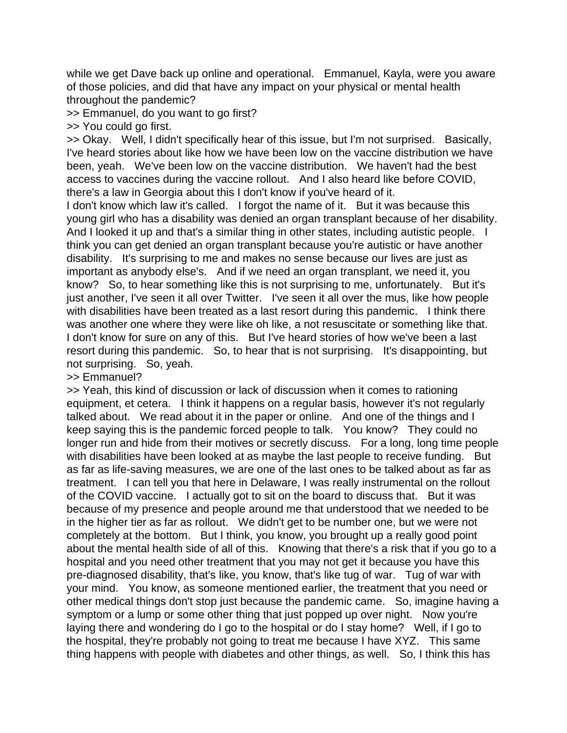while we get Dave back up online and operational. Emmanuel, Kayla, were you aware of those policies, and did that have any impact on your physical or mental health throughout the pandemic?

>> Emmanuel, do you want to go first?

>> You could go first.

>> Okay. Well, I didn't specifically hear of this issue, but I'm not surprised. Basically, I've heard stories about like how we have been low on the vaccine distribution we have been, yeah. We've been low on the vaccine distribution. We haven't had the best access to vaccines during the vaccine rollout. And I also heard like before COVID, there's a law in Georgia about this I don't know if you've heard of it.

I don't know which law it's called. I forgot the name of it. But it was because this young girl who has a disability was denied an organ transplant because of her disability. And I looked it up and that's a similar thing in other states, including autistic people. I think you can get denied an organ transplant because you're autistic or have another disability. It's surprising to me and makes no sense because our lives are just as important as anybody else's. And if we need an organ transplant, we need it, you know? So, to hear something like this is not surprising to me, unfortunately. But it's just another, I've seen it all over Twitter. I've seen it all over the mus, like how people with disabilities have been treated as a last resort during this pandemic. I think there was another one where they were like oh like, a not resuscitate or something like that. I don't know for sure on any of this. But I've heard stories of how we've been a last resort during this pandemic. So, to hear that is not surprising. It's disappointing, but not surprising. So, yeah.

>> Emmanuel?

>> Yeah, this kind of discussion or lack of discussion when it comes to rationing equipment, et cetera. I think it happens on a regular basis, however it's not regularly talked about. We read about it in the paper or online. And one of the things and I keep saying this is the pandemic forced people to talk. You know? They could no longer run and hide from their motives or secretly discuss. For a long, long time people with disabilities have been looked at as maybe the last people to receive funding. But as far as life-saving measures, we are one of the last ones to be talked about as far as treatment. I can tell you that here in Delaware, I was really instrumental on the rollout of the COVID vaccine. I actually got to sit on the board to discuss that. But it was because of my presence and people around me that understood that we needed to be in the higher tier as far as rollout. We didn't get to be number one, but we were not completely at the bottom. But I think, you know, you brought up a really good point about the mental health side of all of this. Knowing that there's a risk that if you go to a hospital and you need other treatment that you may not get it because you have this pre-diagnosed disability, that's like, you know, that's like tug of war. Tug of war with your mind. You know, as someone mentioned earlier, the treatment that you need or other medical things don't stop just because the pandemic came. So, imagine having a symptom or a lump or some other thing that just popped up over night. Now you're laying there and wondering do I go to the hospital or do I stay home? Well, if I go to the hospital, they're probably not going to treat me because I have XYZ. This same thing happens with people with diabetes and other things, as well. So, I think this has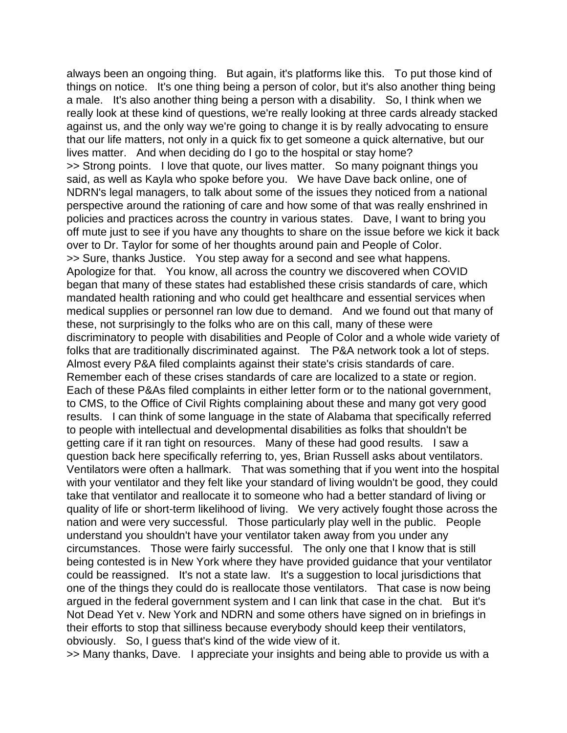always been an ongoing thing. But again, it's platforms like this. To put those kind of things on notice. It's one thing being a person of color, but it's also another thing being a male. It's also another thing being a person with a disability. So, I think when we really look at these kind of questions, we're really looking at three cards already stacked against us, and the only way we're going to change it is by really advocating to ensure that our life matters, not only in a quick fix to get someone a quick alternative, but our lives matter. And when deciding do I go to the hospital or stay home? >> Strong points. I love that quote, our lives matter. So many poignant things you said, as well as Kayla who spoke before you. We have Dave back online, one of NDRN's legal managers, to talk about some of the issues they noticed from a national perspective around the rationing of care and how some of that was really enshrined in policies and practices across the country in various states. Dave, I want to bring you off mute just to see if you have any thoughts to share on the issue before we kick it back over to Dr. Taylor for some of her thoughts around pain and People of Color. >> Sure, thanks Justice. You step away for a second and see what happens. Apologize for that. You know, all across the country we discovered when COVID began that many of these states had established these crisis standards of care, which mandated health rationing and who could get healthcare and essential services when medical supplies or personnel ran low due to demand. And we found out that many of these, not surprisingly to the folks who are on this call, many of these were discriminatory to people with disabilities and People of Color and a whole wide variety of folks that are traditionally discriminated against. The P&A network took a lot of steps. Almost every P&A filed complaints against their state's crisis standards of care. Remember each of these crises standards of care are localized to a state or region. Each of these P&As filed complaints in either letter form or to the national government, to CMS, to the Office of Civil Rights complaining about these and many got very good results. I can think of some language in the state of Alabama that specifically referred to people with intellectual and developmental disabilities as folks that shouldn't be getting care if it ran tight on resources. Many of these had good results. I saw a question back here specifically referring to, yes, Brian Russell asks about ventilators. Ventilators were often a hallmark. That was something that if you went into the hospital with your ventilator and they felt like your standard of living wouldn't be good, they could take that ventilator and reallocate it to someone who had a better standard of living or quality of life or short-term likelihood of living. We very actively fought those across the nation and were very successful. Those particularly play well in the public. People understand you shouldn't have your ventilator taken away from you under any circumstances. Those were fairly successful. The only one that I know that is still being contested is in New York where they have provided guidance that your ventilator could be reassigned. It's not a state law. It's a suggestion to local jurisdictions that one of the things they could do is reallocate those ventilators. That case is now being argued in the federal government system and I can link that case in the chat. But it's Not Dead Yet v. New York and NDRN and some others have signed on in briefings in their efforts to stop that silliness because everybody should keep their ventilators, obviously. So, I guess that's kind of the wide view of it.

>> Many thanks, Dave. I appreciate your insights and being able to provide us with a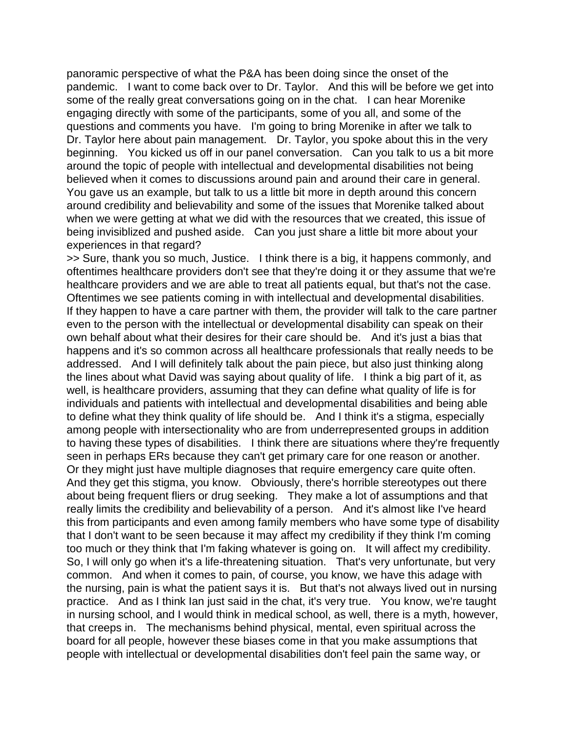panoramic perspective of what the P&A has been doing since the onset of the pandemic. I want to come back over to Dr. Taylor. And this will be before we get into some of the really great conversations going on in the chat. I can hear Morenike engaging directly with some of the participants, some of you all, and some of the questions and comments you have. I'm going to bring Morenike in after we talk to Dr. Taylor here about pain management. Dr. Taylor, you spoke about this in the very beginning. You kicked us off in our panel conversation. Can you talk to us a bit more around the topic of people with intellectual and developmental disabilities not being believed when it comes to discussions around pain and around their care in general. You gave us an example, but talk to us a little bit more in depth around this concern around credibility and believability and some of the issues that Morenike talked about when we were getting at what we did with the resources that we created, this issue of being invisiblized and pushed aside. Can you just share a little bit more about your experiences in that regard?

>> Sure, thank you so much, Justice. I think there is a big, it happens commonly, and oftentimes healthcare providers don't see that they're doing it or they assume that we're healthcare providers and we are able to treat all patients equal, but that's not the case. Oftentimes we see patients coming in with intellectual and developmental disabilities. If they happen to have a care partner with them, the provider will talk to the care partner even to the person with the intellectual or developmental disability can speak on their own behalf about what their desires for their care should be. And it's just a bias that happens and it's so common across all healthcare professionals that really needs to be addressed. And I will definitely talk about the pain piece, but also just thinking along the lines about what David was saying about quality of life. I think a big part of it, as well, is healthcare providers, assuming that they can define what quality of life is for individuals and patients with intellectual and developmental disabilities and being able to define what they think quality of life should be. And I think it's a stigma, especially among people with intersectionality who are from underrepresented groups in addition to having these types of disabilities. I think there are situations where they're frequently seen in perhaps ERs because they can't get primary care for one reason or another. Or they might just have multiple diagnoses that require emergency care quite often. And they get this stigma, you know. Obviously, there's horrible stereotypes out there about being frequent fliers or drug seeking. They make a lot of assumptions and that really limits the credibility and believability of a person. And it's almost like I've heard this from participants and even among family members who have some type of disability that I don't want to be seen because it may affect my credibility if they think I'm coming too much or they think that I'm faking whatever is going on. It will affect my credibility. So, I will only go when it's a life-threatening situation. That's very unfortunate, but very common. And when it comes to pain, of course, you know, we have this adage with the nursing, pain is what the patient says it is. But that's not always lived out in nursing practice. And as I think Ian just said in the chat, it's very true. You know, we're taught in nursing school, and I would think in medical school, as well, there is a myth, however, that creeps in. The mechanisms behind physical, mental, even spiritual across the board for all people, however these biases come in that you make assumptions that people with intellectual or developmental disabilities don't feel pain the same way, or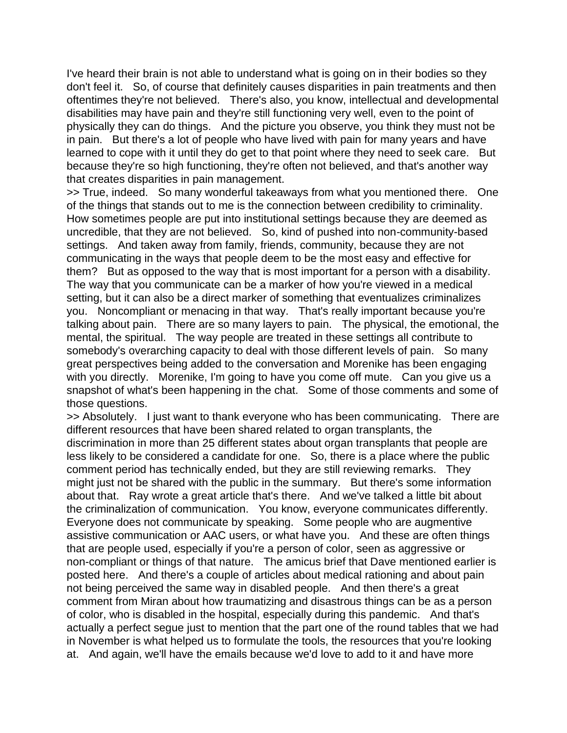I've heard their brain is not able to understand what is going on in their bodies so they don't feel it. So, of course that definitely causes disparities in pain treatments and then oftentimes they're not believed. There's also, you know, intellectual and developmental disabilities may have pain and they're still functioning very well, even to the point of physically they can do things. And the picture you observe, you think they must not be in pain. But there's a lot of people who have lived with pain for many years and have learned to cope with it until they do get to that point where they need to seek care. But because they're so high functioning, they're often not believed, and that's another way that creates disparities in pain management.

>> True, indeed. So many wonderful takeaways from what you mentioned there. One of the things that stands out to me is the connection between credibility to criminality. How sometimes people are put into institutional settings because they are deemed as uncredible, that they are not believed. So, kind of pushed into non-community-based settings. And taken away from family, friends, community, because they are not communicating in the ways that people deem to be the most easy and effective for them? But as opposed to the way that is most important for a person with a disability. The way that you communicate can be a marker of how you're viewed in a medical setting, but it can also be a direct marker of something that eventualizes criminalizes you. Noncompliant or menacing in that way. That's really important because you're talking about pain. There are so many layers to pain. The physical, the emotional, the mental, the spiritual. The way people are treated in these settings all contribute to somebody's overarching capacity to deal with those different levels of pain. So many great perspectives being added to the conversation and Morenike has been engaging with you directly. Morenike, I'm going to have you come off mute. Can you give us a snapshot of what's been happening in the chat. Some of those comments and some of those questions.

>> Absolutely. I just want to thank everyone who has been communicating. There are different resources that have been shared related to organ transplants, the discrimination in more than 25 different states about organ transplants that people are less likely to be considered a candidate for one. So, there is a place where the public comment period has technically ended, but they are still reviewing remarks. They might just not be shared with the public in the summary. But there's some information about that. Ray wrote a great article that's there. And we've talked a little bit about the criminalization of communication. You know, everyone communicates differently. Everyone does not communicate by speaking. Some people who are augmentive assistive communication or AAC users, or what have you. And these are often things that are people used, especially if you're a person of color, seen as aggressive or non-compliant or things of that nature. The amicus brief that Dave mentioned earlier is posted here. And there's a couple of articles about medical rationing and about pain not being perceived the same way in disabled people. And then there's a great comment from Miran about how traumatizing and disastrous things can be as a person of color, who is disabled in the hospital, especially during this pandemic. And that's actually a perfect segue just to mention that the part one of the round tables that we had in November is what helped us to formulate the tools, the resources that you're looking at. And again, we'll have the emails because we'd love to add to it and have more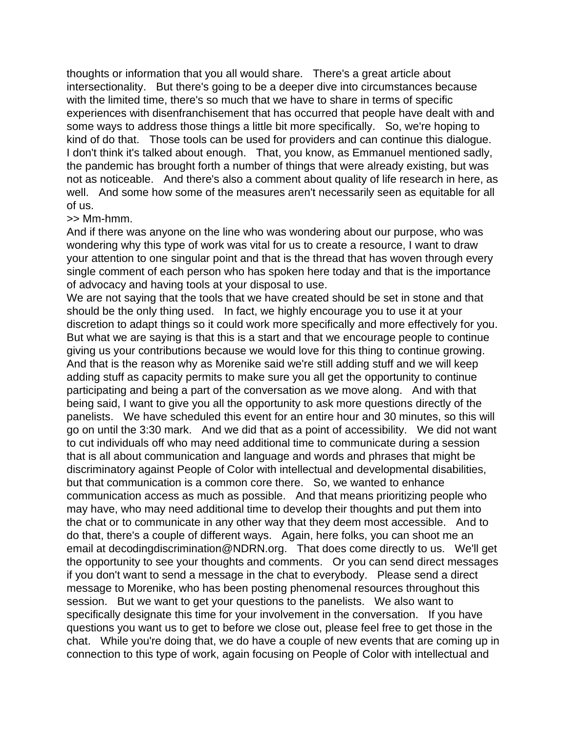thoughts or information that you all would share. There's a great article about intersectionality. But there's going to be a deeper dive into circumstances because with the limited time, there's so much that we have to share in terms of specific experiences with disenfranchisement that has occurred that people have dealt with and some ways to address those things a little bit more specifically. So, we're hoping to kind of do that. Those tools can be used for providers and can continue this dialogue. I don't think it's talked about enough. That, you know, as Emmanuel mentioned sadly, the pandemic has brought forth a number of things that were already existing, but was not as noticeable. And there's also a comment about quality of life research in here, as well. And some how some of the measures aren't necessarily seen as equitable for all of us.

## >> Mm-hmm.

And if there was anyone on the line who was wondering about our purpose, who was wondering why this type of work was vital for us to create a resource, I want to draw your attention to one singular point and that is the thread that has woven through every single comment of each person who has spoken here today and that is the importance of advocacy and having tools at your disposal to use.

We are not saying that the tools that we have created should be set in stone and that should be the only thing used. In fact, we highly encourage you to use it at your discretion to adapt things so it could work more specifically and more effectively for you. But what we are saying is that this is a start and that we encourage people to continue giving us your contributions because we would love for this thing to continue growing. And that is the reason why as Morenike said we're still adding stuff and we will keep adding stuff as capacity permits to make sure you all get the opportunity to continue participating and being a part of the conversation as we move along. And with that being said, I want to give you all the opportunity to ask more questions directly of the panelists. We have scheduled this event for an entire hour and 30 minutes, so this will go on until the 3:30 mark. And we did that as a point of accessibility. We did not want to cut individuals off who may need additional time to communicate during a session that is all about communication and language and words and phrases that might be discriminatory against People of Color with intellectual and developmental disabilities, but that communication is a common core there. So, we wanted to enhance communication access as much as possible. And that means prioritizing people who may have, who may need additional time to develop their thoughts and put them into the chat or to communicate in any other way that they deem most accessible. And to do that, there's a couple of different ways. Again, here folks, you can shoot me an email at decodingdiscrimination@NDRN.org. That does come directly to us. We'll get the opportunity to see your thoughts and comments. Or you can send direct messages if you don't want to send a message in the chat to everybody. Please send a direct message to Morenike, who has been posting phenomenal resources throughout this session. But we want to get your questions to the panelists. We also want to specifically designate this time for your involvement in the conversation. If you have questions you want us to get to before we close out, please feel free to get those in the chat. While you're doing that, we do have a couple of new events that are coming up in connection to this type of work, again focusing on People of Color with intellectual and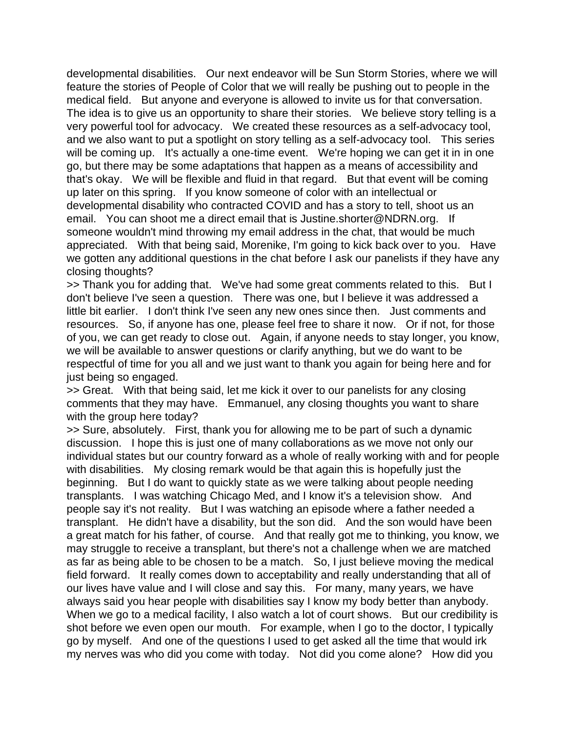developmental disabilities. Our next endeavor will be Sun Storm Stories, where we will feature the stories of People of Color that we will really be pushing out to people in the medical field. But anyone and everyone is allowed to invite us for that conversation. The idea is to give us an opportunity to share their stories. We believe story telling is a very powerful tool for advocacy. We created these resources as a self-advocacy tool, and we also want to put a spotlight on story telling as a self-advocacy tool. This series will be coming up. It's actually a one-time event. We're hoping we can get it in in one go, but there may be some adaptations that happen as a means of accessibility and that's okay. We will be flexible and fluid in that regard. But that event will be coming up later on this spring. If you know someone of color with an intellectual or developmental disability who contracted COVID and has a story to tell, shoot us an email. You can shoot me a direct email that is Justine.shorter@NDRN.org. If someone wouldn't mind throwing my email address in the chat, that would be much appreciated. With that being said, Morenike, I'm going to kick back over to you. Have we gotten any additional questions in the chat before I ask our panelists if they have any closing thoughts?

>> Thank you for adding that. We've had some great comments related to this. But I don't believe I've seen a question. There was one, but I believe it was addressed a little bit earlier. I don't think I've seen any new ones since then. Just comments and resources. So, if anyone has one, please feel free to share it now. Or if not, for those of you, we can get ready to close out. Again, if anyone needs to stay longer, you know, we will be available to answer questions or clarify anything, but we do want to be respectful of time for you all and we just want to thank you again for being here and for just being so engaged.

>> Great. With that being said, let me kick it over to our panelists for any closing comments that they may have. Emmanuel, any closing thoughts you want to share with the group here today?

>> Sure, absolutely. First, thank you for allowing me to be part of such a dynamic discussion. I hope this is just one of many collaborations as we move not only our individual states but our country forward as a whole of really working with and for people with disabilities. My closing remark would be that again this is hopefully just the beginning. But I do want to quickly state as we were talking about people needing transplants. I was watching Chicago Med, and I know it's a television show. And people say it's not reality. But I was watching an episode where a father needed a transplant. He didn't have a disability, but the son did. And the son would have been a great match for his father, of course. And that really got me to thinking, you know, we may struggle to receive a transplant, but there's not a challenge when we are matched as far as being able to be chosen to be a match. So, I just believe moving the medical field forward. It really comes down to acceptability and really understanding that all of our lives have value and I will close and say this. For many, many years, we have always said you hear people with disabilities say I know my body better than anybody. When we go to a medical facility, I also watch a lot of court shows. But our credibility is shot before we even open our mouth. For example, when I go to the doctor, I typically go by myself. And one of the questions I used to get asked all the time that would irk my nerves was who did you come with today. Not did you come alone? How did you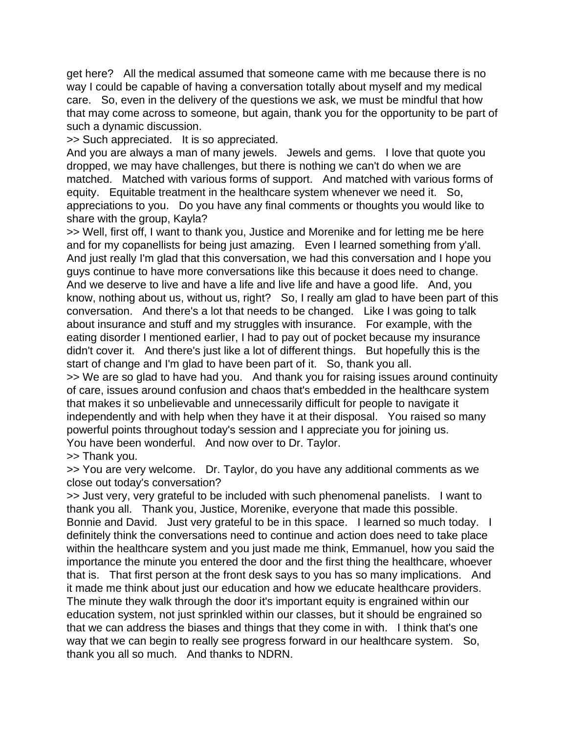get here? All the medical assumed that someone came with me because there is no way I could be capable of having a conversation totally about myself and my medical care. So, even in the delivery of the questions we ask, we must be mindful that how that may come across to someone, but again, thank you for the opportunity to be part of such a dynamic discussion.

>> Such appreciated. It is so appreciated.

And you are always a man of many jewels. Jewels and gems. I love that quote you dropped, we may have challenges, but there is nothing we can't do when we are matched. Matched with various forms of support. And matched with various forms of equity. Equitable treatment in the healthcare system whenever we need it. So, appreciations to you. Do you have any final comments or thoughts you would like to share with the group, Kayla?

>> Well, first off, I want to thank you, Justice and Morenike and for letting me be here and for my copanellists for being just amazing. Even I learned something from y'all. And just really I'm glad that this conversation, we had this conversation and I hope you guys continue to have more conversations like this because it does need to change. And we deserve to live and have a life and live life and have a good life. And, you know, nothing about us, without us, right? So, I really am glad to have been part of this conversation. And there's a lot that needs to be changed. Like I was going to talk about insurance and stuff and my struggles with insurance. For example, with the eating disorder I mentioned earlier, I had to pay out of pocket because my insurance didn't cover it. And there's just like a lot of different things. But hopefully this is the start of change and I'm glad to have been part of it. So, thank you all.

>> We are so glad to have had you. And thank you for raising issues around continuity of care, issues around confusion and chaos that's embedded in the healthcare system that makes it so unbelievable and unnecessarily difficult for people to navigate it independently and with help when they have it at their disposal. You raised so many powerful points throughout today's session and I appreciate you for joining us. You have been wonderful. And now over to Dr. Taylor.

>> Thank you.

>> You are very welcome. Dr. Taylor, do you have any additional comments as we close out today's conversation?

>> Just very, very grateful to be included with such phenomenal panelists. I want to thank you all. Thank you, Justice, Morenike, everyone that made this possible. Bonnie and David. Just very grateful to be in this space. I learned so much today. I definitely think the conversations need to continue and action does need to take place within the healthcare system and you just made me think, Emmanuel, how you said the importance the minute you entered the door and the first thing the healthcare, whoever that is. That first person at the front desk says to you has so many implications. And it made me think about just our education and how we educate healthcare providers. The minute they walk through the door it's important equity is engrained within our education system, not just sprinkled within our classes, but it should be engrained so that we can address the biases and things that they come in with. I think that's one way that we can begin to really see progress forward in our healthcare system. So, thank you all so much. And thanks to NDRN.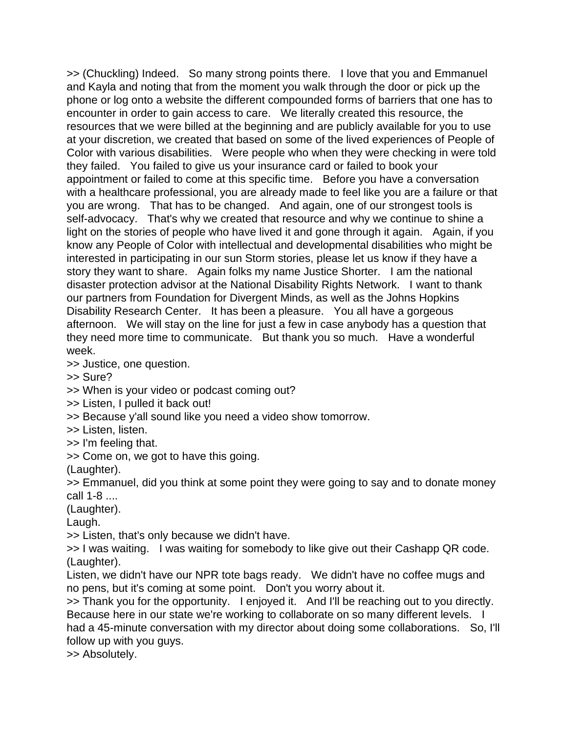>> (Chuckling) Indeed. So many strong points there. I love that you and Emmanuel and Kayla and noting that from the moment you walk through the door or pick up the phone or log onto a website the different compounded forms of barriers that one has to encounter in order to gain access to care. We literally created this resource, the resources that we were billed at the beginning and are publicly available for you to use at your discretion, we created that based on some of the lived experiences of People of Color with various disabilities. Were people who when they were checking in were told they failed. You failed to give us your insurance card or failed to book your appointment or failed to come at this specific time. Before you have a conversation with a healthcare professional, you are already made to feel like you are a failure or that you are wrong. That has to be changed. And again, one of our strongest tools is self-advocacy. That's why we created that resource and why we continue to shine a light on the stories of people who have lived it and gone through it again. Again, if you know any People of Color with intellectual and developmental disabilities who might be interested in participating in our sun Storm stories, please let us know if they have a story they want to share. Again folks my name Justice Shorter. I am the national disaster protection advisor at the National Disability Rights Network. I want to thank our partners from Foundation for Divergent Minds, as well as the Johns Hopkins Disability Research Center. It has been a pleasure. You all have a gorgeous afternoon. We will stay on the line for just a few in case anybody has a question that they need more time to communicate. But thank you so much. Have a wonderful week.

>> Justice, one question.

>> Sure?

>> When is your video or podcast coming out?

>> Listen, I pulled it back out!

>> Because y'all sound like you need a video show tomorrow.

>> Listen, listen.

>> I'm feeling that.

>> Come on, we got to have this going.

(Laughter).

>> Emmanuel, did you think at some point they were going to say and to donate money call 1-8 ....

(Laughter).

Laugh.

>> Listen, that's only because we didn't have.

>> I was waiting. I was waiting for somebody to like give out their Cashapp QR code. (Laughter).

Listen, we didn't have our NPR tote bags ready. We didn't have no coffee mugs and no pens, but it's coming at some point. Don't you worry about it.

>> Thank you for the opportunity. I enjoyed it. And I'll be reaching out to you directly. Because here in our state we're working to collaborate on so many different levels. I

had a 45-minute conversation with my director about doing some collaborations. So, I'll follow up with you guys.

>> Absolutely.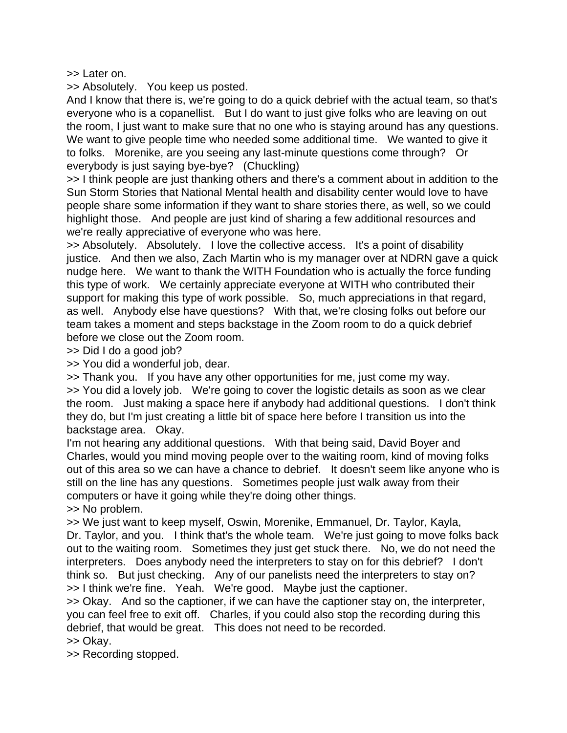>> Later on.

>> Absolutely. You keep us posted.

And I know that there is, we're going to do a quick debrief with the actual team, so that's everyone who is a copanellist. But I do want to just give folks who are leaving on out the room, I just want to make sure that no one who is staying around has any questions. We want to give people time who needed some additional time. We wanted to give it to folks. Morenike, are you seeing any last-minute questions come through? Or everybody is just saying bye-bye? (Chuckling)

>> I think people are just thanking others and there's a comment about in addition to the Sun Storm Stories that National Mental health and disability center would love to have people share some information if they want to share stories there, as well, so we could highlight those. And people are just kind of sharing a few additional resources and we're really appreciative of everyone who was here.

>> Absolutely. Absolutely. I love the collective access. It's a point of disability justice. And then we also, Zach Martin who is my manager over at NDRN gave a quick nudge here. We want to thank the WITH Foundation who is actually the force funding this type of work. We certainly appreciate everyone at WITH who contributed their support for making this type of work possible. So, much appreciations in that regard, as well. Anybody else have questions? With that, we're closing folks out before our team takes a moment and steps backstage in the Zoom room to do a quick debrief before we close out the Zoom room.

>> Did I do a good job?

>> You did a wonderful job, dear.

>> Thank you. If you have any other opportunities for me, just come my way.

>> You did a lovely job. We're going to cover the logistic details as soon as we clear the room. Just making a space here if anybody had additional questions. I don't think they do, but I'm just creating a little bit of space here before I transition us into the backstage area. Okay.

I'm not hearing any additional questions. With that being said, David Boyer and Charles, would you mind moving people over to the waiting room, kind of moving folks out of this area so we can have a chance to debrief. It doesn't seem like anyone who is still on the line has any questions. Sometimes people just walk away from their computers or have it going while they're doing other things.

>> No problem.

>> We just want to keep myself, Oswin, Morenike, Emmanuel, Dr. Taylor, Kayla, Dr. Taylor, and you. I think that's the whole team. We're just going to move folks back out to the waiting room. Sometimes they just get stuck there. No, we do not need the interpreters. Does anybody need the interpreters to stay on for this debrief? I don't think so. But just checking. Any of our panelists need the interpreters to stay on? >> I think we're fine. Yeah. We're good. Maybe just the captioner.

>> Okay. And so the captioner, if we can have the captioner stay on, the interpreter, you can feel free to exit off. Charles, if you could also stop the recording during this debrief, that would be great. This does not need to be recorded.

>> Okay.

>> Recording stopped.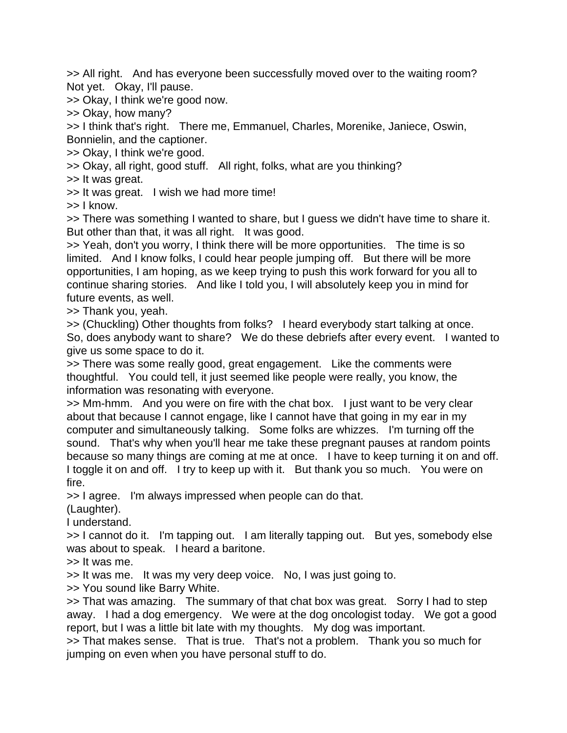>> All right. And has everyone been successfully moved over to the waiting room? Not yet. Okay, I'll pause.

>> Okay, I think we're good now.

>> Okay, how many?

>> I think that's right. There me, Emmanuel, Charles, Morenike, Janiece, Oswin, Bonnielin, and the captioner.

>> Okay, I think we're good.

>> Okay, all right, good stuff. All right, folks, what are you thinking?

>> It was great.

>> It was great. I wish we had more time!

>> I know.

>> There was something I wanted to share, but I guess we didn't have time to share it. But other than that, it was all right. It was good.

>> Yeah, don't you worry, I think there will be more opportunities. The time is so limited. And I know folks, I could hear people jumping off. But there will be more opportunities, I am hoping, as we keep trying to push this work forward for you all to continue sharing stories. And like I told you, I will absolutely keep you in mind for future events, as well.

>> Thank you, yeah.

>> (Chuckling) Other thoughts from folks? I heard everybody start talking at once. So, does anybody want to share? We do these debriefs after every event. I wanted to give us some space to do it.

>> There was some really good, great engagement. Like the comments were thoughtful. You could tell, it just seemed like people were really, you know, the information was resonating with everyone.

>> Mm-hmm. And you were on fire with the chat box. I just want to be very clear about that because I cannot engage, like I cannot have that going in my ear in my computer and simultaneously talking. Some folks are whizzes. I'm turning off the sound. That's why when you'll hear me take these pregnant pauses at random points because so many things are coming at me at once. I have to keep turning it on and off. I toggle it on and off. I try to keep up with it. But thank you so much. You were on fire.

>> I agree. I'm always impressed when people can do that.

(Laughter).

I understand.

>> I cannot do it. I'm tapping out. I am literally tapping out. But yes, somebody else was about to speak. I heard a baritone.

>> It was me.

>> It was me. It was my very deep voice. No, I was just going to.

>> You sound like Barry White.

>> That was amazing. The summary of that chat box was great. Sorry I had to step away. I had a dog emergency. We were at the dog oncologist today. We got a good report, but I was a little bit late with my thoughts. My dog was important.

>> That makes sense. That is true. That's not a problem. Thank you so much for jumping on even when you have personal stuff to do.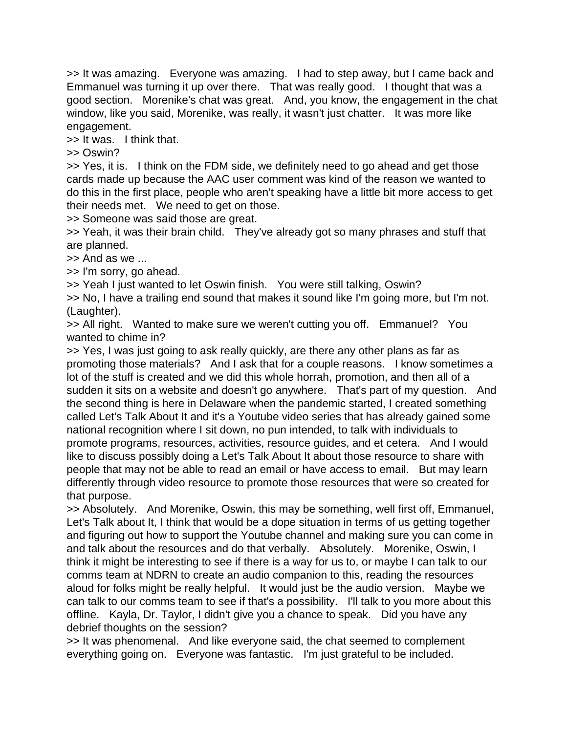>> It was amazing. Everyone was amazing. I had to step away, but I came back and Emmanuel was turning it up over there. That was really good. I thought that was a good section. Morenike's chat was great. And, you know, the engagement in the chat window, like you said, Morenike, was really, it wasn't just chatter. It was more like engagement.

>> It was. I think that.

>> Oswin?

>> Yes, it is. I think on the FDM side, we definitely need to go ahead and get those cards made up because the AAC user comment was kind of the reason we wanted to do this in the first place, people who aren't speaking have a little bit more access to get their needs met. We need to get on those.

>> Someone was said those are great.

>> Yeah, it was their brain child. They've already got so many phrases and stuff that are planned.

>> And as we ...

>> I'm sorry, go ahead.

>> Yeah I just wanted to let Oswin finish. You were still talking, Oswin?

>> No, I have a trailing end sound that makes it sound like I'm going more, but I'm not. (Laughter).

>> All right. Wanted to make sure we weren't cutting you off. Emmanuel? You wanted to chime in?

>> Yes, I was just going to ask really quickly, are there any other plans as far as promoting those materials? And I ask that for a couple reasons. I know sometimes a lot of the stuff is created and we did this whole horrah, promotion, and then all of a sudden it sits on a website and doesn't go anywhere. That's part of my question. And the second thing is here in Delaware when the pandemic started, I created something called Let's Talk About It and it's a Youtube video series that has already gained some national recognition where I sit down, no pun intended, to talk with individuals to promote programs, resources, activities, resource guides, and et cetera. And I would like to discuss possibly doing a Let's Talk About It about those resource to share with people that may not be able to read an email or have access to email. But may learn differently through video resource to promote those resources that were so created for that purpose.

>> Absolutely. And Morenike, Oswin, this may be something, well first off, Emmanuel, Let's Talk about It, I think that would be a dope situation in terms of us getting together and figuring out how to support the Youtube channel and making sure you can come in and talk about the resources and do that verbally. Absolutely. Morenike, Oswin, I think it might be interesting to see if there is a way for us to, or maybe I can talk to our comms team at NDRN to create an audio companion to this, reading the resources aloud for folks might be really helpful. It would just be the audio version. Maybe we can talk to our comms team to see if that's a possibility. I'll talk to you more about this offline. Kayla, Dr. Taylor, I didn't give you a chance to speak. Did you have any debrief thoughts on the session?

>> It was phenomenal. And like everyone said, the chat seemed to complement everything going on. Everyone was fantastic. I'm just grateful to be included.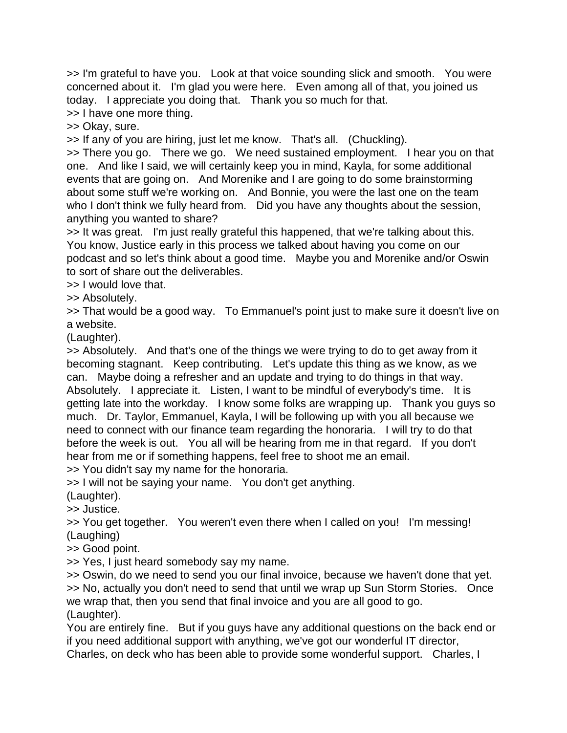>> I'm grateful to have you. Look at that voice sounding slick and smooth. You were concerned about it. I'm glad you were here. Even among all of that, you joined us today. I appreciate you doing that. Thank you so much for that.

>> I have one more thing.

>> Okay, sure.

>> If any of you are hiring, just let me know. That's all. (Chuckling).

>> There you go. There we go. We need sustained employment. I hear you on that one. And like I said, we will certainly keep you in mind, Kayla, for some additional events that are going on. And Morenike and I are going to do some brainstorming about some stuff we're working on. And Bonnie, you were the last one on the team who I don't think we fully heard from. Did you have any thoughts about the session, anything you wanted to share?

>> It was great. I'm just really grateful this happened, that we're talking about this. You know, Justice early in this process we talked about having you come on our podcast and so let's think about a good time. Maybe you and Morenike and/or Oswin to sort of share out the deliverables.

>> I would love that.

>> Absolutely.

>> That would be a good way. To Emmanuel's point just to make sure it doesn't live on a website.

(Laughter).

>> Absolutely. And that's one of the things we were trying to do to get away from it becoming stagnant. Keep contributing. Let's update this thing as we know, as we can. Maybe doing a refresher and an update and trying to do things in that way. Absolutely. I appreciate it. Listen, I want to be mindful of everybody's time. It is getting late into the workday. I know some folks are wrapping up. Thank you guys so much. Dr. Taylor, Emmanuel, Kayla, I will be following up with you all because we need to connect with our finance team regarding the honoraria. I will try to do that before the week is out. You all will be hearing from me in that regard. If you don't hear from me or if something happens, feel free to shoot me an email. >> You didn't say my name for the honoraria.

>> I will not be saying your name. You don't get anything.

(Laughter).

>> Justice.

>> You get together. You weren't even there when I called on you! I'm messing! (Laughing)

>> Good point.

>> Yes, I just heard somebody say my name.

>> Oswin, do we need to send you our final invoice, because we haven't done that yet. >> No, actually you don't need to send that until we wrap up Sun Storm Stories. Once we wrap that, then you send that final invoice and you are all good to go. (Laughter).

You are entirely fine. But if you guys have any additional questions on the back end or if you need additional support with anything, we've got our wonderful IT director,

Charles, on deck who has been able to provide some wonderful support. Charles, I